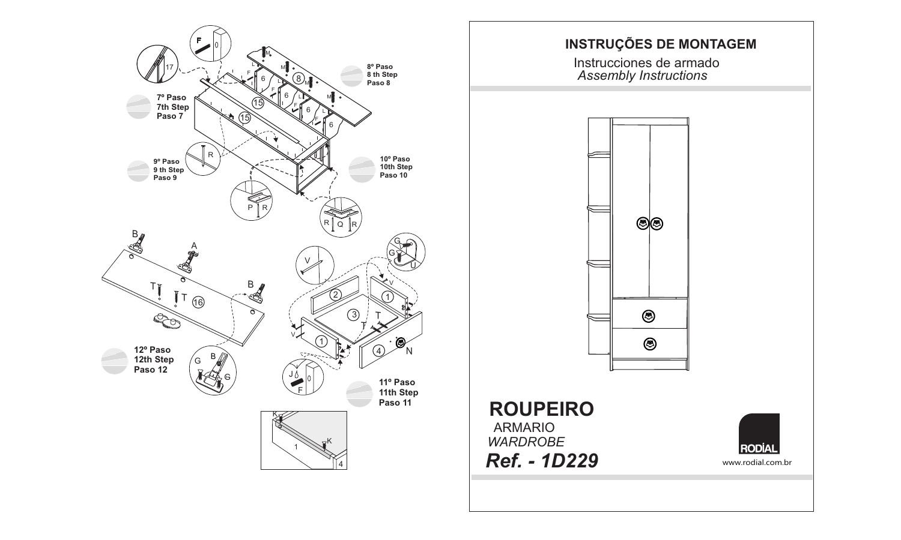